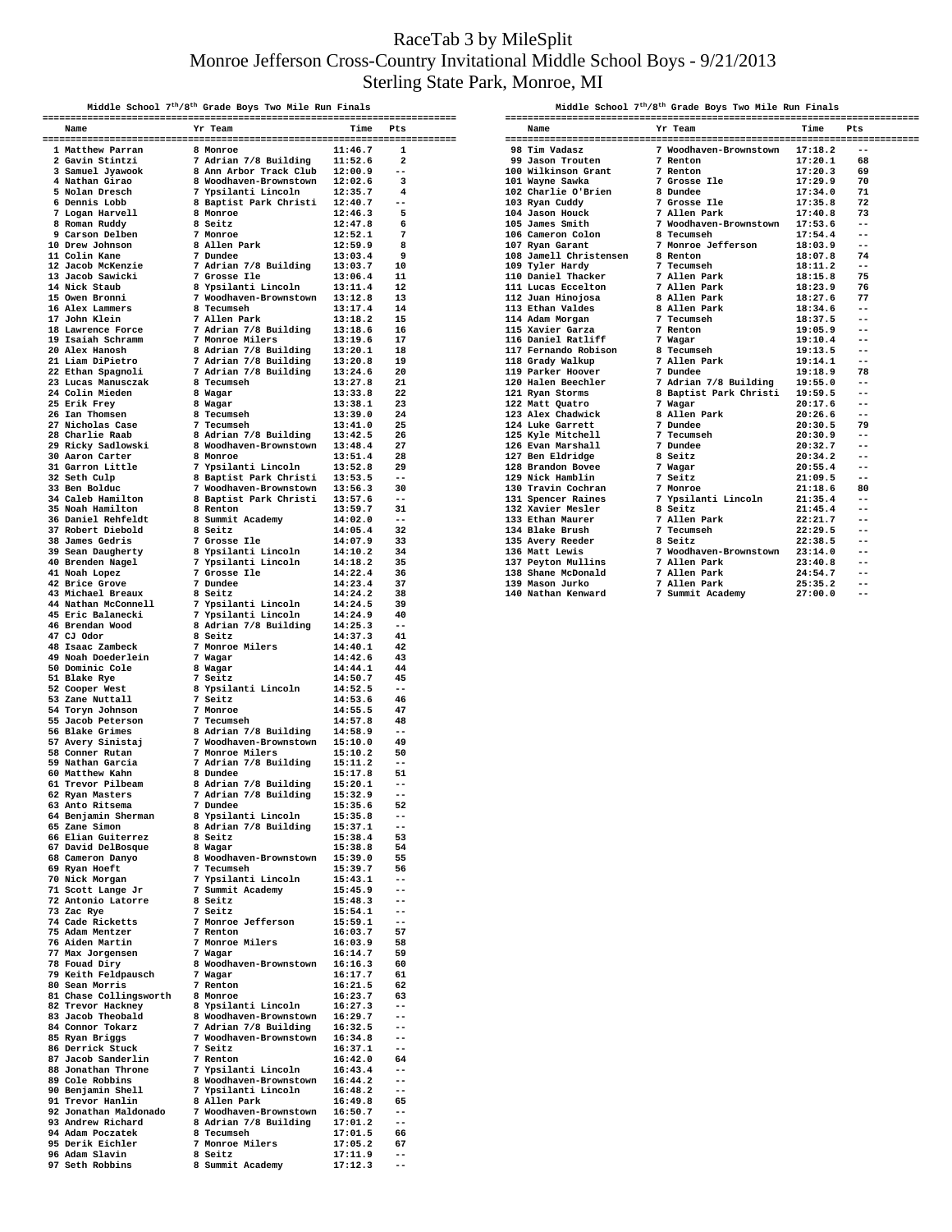## RaceTab 3 by MileSplit Monroe Jefferson Cross-Country Invitational Middle School Boys - 9/21/2013 Sterling State Park, Monroe, MI

| Middle School 7 <sup>th</sup> /8 <sup>th</sup> Grade Boys Two Mile Run Finals<br>$\begin{tabular}{l cccccccc} \hline & \textbf{Midale school 70%0% & \textbf{New Rishom} & \textbf{Mishale school 70%0% & \textbf{New Rishom} & \textbf{Mishale school 70% & \textbf{New Rishom} & \textbf{Mishage} \\ \hline \hline \textbf{Mishale blood} & \textbf{Mishale blood} & \textbf{Mishale blood} & \textbf{Mishale blood} & \textbf{Mishale blood} \\ \hline \hline \textbf{Mishale blood} & \textbf{Mishale blood} & \textbf{Mishale blood} & \textbf{Mishale blood} \\ \hline \hline \textbf{Mishale blood} & \textbf{M$ |                                                                                                                                                                                                                                          |  |                                                              |                    |                            |  |  |  |
|-------------------------------------------------------------------------------------------------------------------------------------------------------------------------------------------------------------------------------------------------------------------------------------------------------------------------------------------------------------------------------------------------------------------------------------------------------------------------------------------------------------------------------------------------------------------------------------------------------------------------|------------------------------------------------------------------------------------------------------------------------------------------------------------------------------------------------------------------------------------------|--|--------------------------------------------------------------|--------------------|----------------------------|--|--|--|
|                                                                                                                                                                                                                                                                                                                                                                                                                                                                                                                                                                                                                         | Name                                                                                                                                                                                                                                     |  | Yr Team                                                      | Time Pts           |                            |  |  |  |
|                                                                                                                                                                                                                                                                                                                                                                                                                                                                                                                                                                                                                         |                                                                                                                                                                                                                                          |  |                                                              |                    |                            |  |  |  |
|                                                                                                                                                                                                                                                                                                                                                                                                                                                                                                                                                                                                                         |                                                                                                                                                                                                                                          |  |                                                              |                    |                            |  |  |  |
|                                                                                                                                                                                                                                                                                                                                                                                                                                                                                                                                                                                                                         |                                                                                                                                                                                                                                          |  |                                                              |                    |                            |  |  |  |
|                                                                                                                                                                                                                                                                                                                                                                                                                                                                                                                                                                                                                         |                                                                                                                                                                                                                                          |  |                                                              |                    |                            |  |  |  |
|                                                                                                                                                                                                                                                                                                                                                                                                                                                                                                                                                                                                                         |                                                                                                                                                                                                                                          |  |                                                              |                    |                            |  |  |  |
|                                                                                                                                                                                                                                                                                                                                                                                                                                                                                                                                                                                                                         |                                                                                                                                                                                                                                          |  |                                                              |                    |                            |  |  |  |
|                                                                                                                                                                                                                                                                                                                                                                                                                                                                                                                                                                                                                         |                                                                                                                                                                                                                                          |  |                                                              |                    |                            |  |  |  |
|                                                                                                                                                                                                                                                                                                                                                                                                                                                                                                                                                                                                                         |                                                                                                                                                                                                                                          |  |                                                              |                    |                            |  |  |  |
|                                                                                                                                                                                                                                                                                                                                                                                                                                                                                                                                                                                                                         |                                                                                                                                                                                                                                          |  |                                                              |                    |                            |  |  |  |
|                                                                                                                                                                                                                                                                                                                                                                                                                                                                                                                                                                                                                         |                                                                                                                                                                                                                                          |  |                                                              |                    |                            |  |  |  |
|                                                                                                                                                                                                                                                                                                                                                                                                                                                                                                                                                                                                                         |                                                                                                                                                                                                                                          |  |                                                              |                    |                            |  |  |  |
|                                                                                                                                                                                                                                                                                                                                                                                                                                                                                                                                                                                                                         |                                                                                                                                                                                                                                          |  |                                                              |                    |                            |  |  |  |
|                                                                                                                                                                                                                                                                                                                                                                                                                                                                                                                                                                                                                         |                                                                                                                                                                                                                                          |  |                                                              |                    |                            |  |  |  |
|                                                                                                                                                                                                                                                                                                                                                                                                                                                                                                                                                                                                                         |                                                                                                                                                                                                                                          |  |                                                              |                    |                            |  |  |  |
|                                                                                                                                                                                                                                                                                                                                                                                                                                                                                                                                                                                                                         |                                                                                                                                                                                                                                          |  |                                                              |                    |                            |  |  |  |
|                                                                                                                                                                                                                                                                                                                                                                                                                                                                                                                                                                                                                         |                                                                                                                                                                                                                                          |  |                                                              |                    |                            |  |  |  |
|                                                                                                                                                                                                                                                                                                                                                                                                                                                                                                                                                                                                                         |                                                                                                                                                                                                                                          |  |                                                              |                    |                            |  |  |  |
|                                                                                                                                                                                                                                                                                                                                                                                                                                                                                                                                                                                                                         |                                                                                                                                                                                                                                          |  |                                                              |                    |                            |  |  |  |
|                                                                                                                                                                                                                                                                                                                                                                                                                                                                                                                                                                                                                         |                                                                                                                                                                                                                                          |  |                                                              |                    |                            |  |  |  |
|                                                                                                                                                                                                                                                                                                                                                                                                                                                                                                                                                                                                                         |                                                                                                                                                                                                                                          |  |                                                              |                    |                            |  |  |  |
|                                                                                                                                                                                                                                                                                                                                                                                                                                                                                                                                                                                                                         |                                                                                                                                                                                                                                          |  |                                                              |                    |                            |  |  |  |
|                                                                                                                                                                                                                                                                                                                                                                                                                                                                                                                                                                                                                         |                                                                                                                                                                                                                                          |  |                                                              |                    |                            |  |  |  |
|                                                                                                                                                                                                                                                                                                                                                                                                                                                                                                                                                                                                                         |                                                                                                                                                                                                                                          |  |                                                              |                    |                            |  |  |  |
|                                                                                                                                                                                                                                                                                                                                                                                                                                                                                                                                                                                                                         |                                                                                                                                                                                                                                          |  |                                                              |                    |                            |  |  |  |
|                                                                                                                                                                                                                                                                                                                                                                                                                                                                                                                                                                                                                         |                                                                                                                                                                                                                                          |  |                                                              |                    |                            |  |  |  |
|                                                                                                                                                                                                                                                                                                                                                                                                                                                                                                                                                                                                                         |                                                                                                                                                                                                                                          |  |                                                              |                    |                            |  |  |  |
|                                                                                                                                                                                                                                                                                                                                                                                                                                                                                                                                                                                                                         |                                                                                                                                                                                                                                          |  |                                                              |                    |                            |  |  |  |
|                                                                                                                                                                                                                                                                                                                                                                                                                                                                                                                                                                                                                         |                                                                                                                                                                                                                                          |  |                                                              |                    |                            |  |  |  |
|                                                                                                                                                                                                                                                                                                                                                                                                                                                                                                                                                                                                                         |                                                                                                                                                                                                                                          |  |                                                              |                    |                            |  |  |  |
|                                                                                                                                                                                                                                                                                                                                                                                                                                                                                                                                                                                                                         |                                                                                                                                                                                                                                          |  |                                                              |                    |                            |  |  |  |
|                                                                                                                                                                                                                                                                                                                                                                                                                                                                                                                                                                                                                         |                                                                                                                                                                                                                                          |  |                                                              |                    |                            |  |  |  |
|                                                                                                                                                                                                                                                                                                                                                                                                                                                                                                                                                                                                                         |                                                                                                                                                                                                                                          |  |                                                              |                    |                            |  |  |  |
|                                                                                                                                                                                                                                                                                                                                                                                                                                                                                                                                                                                                                         |                                                                                                                                                                                                                                          |  |                                                              |                    |                            |  |  |  |
|                                                                                                                                                                                                                                                                                                                                                                                                                                                                                                                                                                                                                         |                                                                                                                                                                                                                                          |  |                                                              |                    |                            |  |  |  |
|                                                                                                                                                                                                                                                                                                                                                                                                                                                                                                                                                                                                                         |                                                                                                                                                                                                                                          |  |                                                              |                    |                            |  |  |  |
|                                                                                                                                                                                                                                                                                                                                                                                                                                                                                                                                                                                                                         |                                                                                                                                                                                                                                          |  |                                                              |                    |                            |  |  |  |
|                                                                                                                                                                                                                                                                                                                                                                                                                                                                                                                                                                                                                         |                                                                                                                                                                                                                                          |  |                                                              |                    |                            |  |  |  |
|                                                                                                                                                                                                                                                                                                                                                                                                                                                                                                                                                                                                                         |                                                                                                                                                                                                                                          |  |                                                              |                    |                            |  |  |  |
|                                                                                                                                                                                                                                                                                                                                                                                                                                                                                                                                                                                                                         |                                                                                                                                                                                                                                          |  |                                                              |                    |                            |  |  |  |
|                                                                                                                                                                                                                                                                                                                                                                                                                                                                                                                                                                                                                         |                                                                                                                                                                                                                                          |  |                                                              |                    |                            |  |  |  |
|                                                                                                                                                                                                                                                                                                                                                                                                                                                                                                                                                                                                                         |                                                                                                                                                                                                                                          |  |                                                              |                    |                            |  |  |  |
|                                                                                                                                                                                                                                                                                                                                                                                                                                                                                                                                                                                                                         |                                                                                                                                                                                                                                          |  |                                                              |                    |                            |  |  |  |
|                                                                                                                                                                                                                                                                                                                                                                                                                                                                                                                                                                                                                         |                                                                                                                                                                                                                                          |  |                                                              |                    |                            |  |  |  |
|                                                                                                                                                                                                                                                                                                                                                                                                                                                                                                                                                                                                                         |                                                                                                                                                                                                                                          |  |                                                              |                    |                            |  |  |  |
|                                                                                                                                                                                                                                                                                                                                                                                                                                                                                                                                                                                                                         |                                                                                                                                                                                                                                          |  |                                                              |                    |                            |  |  |  |
|                                                                                                                                                                                                                                                                                                                                                                                                                                                                                                                                                                                                                         |                                                                                                                                                                                                                                          |  |                                                              |                    |                            |  |  |  |
|                                                                                                                                                                                                                                                                                                                                                                                                                                                                                                                                                                                                                         |                                                                                                                                                                                                                                          |  |                                                              |                    |                            |  |  |  |
|                                                                                                                                                                                                                                                                                                                                                                                                                                                                                                                                                                                                                         |                                                                                                                                                                                                                                          |  |                                                              |                    |                            |  |  |  |
|                                                                                                                                                                                                                                                                                                                                                                                                                                                                                                                                                                                                                         |                                                                                                                                                                                                                                          |  |                                                              |                    |                            |  |  |  |
|                                                                                                                                                                                                                                                                                                                                                                                                                                                                                                                                                                                                                         |                                                                                                                                                                                                                                          |  |                                                              |                    |                            |  |  |  |
|                                                                                                                                                                                                                                                                                                                                                                                                                                                                                                                                                                                                                         | 63 Anto Ritsema                                                                                                                                                                                                                          |  | 7 Dundee                                                     | 15:35.6            | 52                         |  |  |  |
|                                                                                                                                                                                                                                                                                                                                                                                                                                                                                                                                                                                                                         | % 64 Benjamin Sherman 8 Ypsilanti Lincoln<br>% 7/8 Building<br>% 8 Seitz<br>% 8 Seitz                                                                                                                                                    |  |                                                              | 15:35.8<br>15:37.1 | $-$<br>--                  |  |  |  |
|                                                                                                                                                                                                                                                                                                                                                                                                                                                                                                                                                                                                                         |                                                                                                                                                                                                                                          |  |                                                              | 15:38.4            | 53                         |  |  |  |
|                                                                                                                                                                                                                                                                                                                                                                                                                                                                                                                                                                                                                         | 00 Extra during the Magar<br>68 Cameron Danyo 8 Magar<br>68 Cameron Danyo 8 Moodhaven-Brownstown 15:39.0<br>69 Ryan Hoeft 7 Tecumseh 15:39.7<br>70 Nick Morgan 7 Ypsilanti Lincoln 15:43.1<br>71 Scott Lange Jr 7 Summit Academy 15:43.1 |  |                                                              | 15:38.8            | 54                         |  |  |  |
|                                                                                                                                                                                                                                                                                                                                                                                                                                                                                                                                                                                                                         |                                                                                                                                                                                                                                          |  |                                                              |                    | 55                         |  |  |  |
|                                                                                                                                                                                                                                                                                                                                                                                                                                                                                                                                                                                                                         |                                                                                                                                                                                                                                          |  |                                                              |                    | 56<br>$- -$                |  |  |  |
|                                                                                                                                                                                                                                                                                                                                                                                                                                                                                                                                                                                                                         |                                                                                                                                                                                                                                          |  |                                                              |                    | $-$                        |  |  |  |
|                                                                                                                                                                                                                                                                                                                                                                                                                                                                                                                                                                                                                         | 71 Scott Lange<br>72 Antonio Latorre                                                                                                                                                                                                     |  | 8 Seitz<br>7 Seitz                                           | 15:48.3            | $-$                        |  |  |  |
|                                                                                                                                                                                                                                                                                                                                                                                                                                                                                                                                                                                                                         | 73 Zac Rye<br>74 Cade Ricketts                                                                                                                                                                                                           |  |                                                              | 15:54.1<br>15:59.1 | $ -$                       |  |  |  |
|                                                                                                                                                                                                                                                                                                                                                                                                                                                                                                                                                                                                                         | 75 Adam Mentzer                                                                                                                                                                                                                          |  |                                                              | 16:03.7            | 57                         |  |  |  |
|                                                                                                                                                                                                                                                                                                                                                                                                                                                                                                                                                                                                                         | 76 Aiden Martin                                                                                                                                                                                                                          |  | 7 Monroe Jefferson<br>7 Renton<br>7 Monroe Milers<br>7 Wagar | 16:03.9            | 58                         |  |  |  |
|                                                                                                                                                                                                                                                                                                                                                                                                                                                                                                                                                                                                                         |                                                                                                                                                                                                                                          |  |                                                              |                    | 59                         |  |  |  |
|                                                                                                                                                                                                                                                                                                                                                                                                                                                                                                                                                                                                                         |                                                                                                                                                                                                                                          |  |                                                              |                    | 60                         |  |  |  |
|                                                                                                                                                                                                                                                                                                                                                                                                                                                                                                                                                                                                                         |                                                                                                                                                                                                                                          |  |                                                              |                    | 61<br>62                   |  |  |  |
|                                                                                                                                                                                                                                                                                                                                                                                                                                                                                                                                                                                                                         | 81 Chase Collingsworth 8 Monroe 16:23.7<br>82 Trevor Hackney 8 Ypsilanti Lincoln 16:27.3<br>83 Jacob Theobald 8 Woodhaven-Brownstown 16:29.7<br>84 Connor Tokarz 7 Adrian 7/8 Building 16:32.5<br>84 Connor Tokarz 7 Modhaven-Brownsto   |  |                                                              |                    | 63                         |  |  |  |
|                                                                                                                                                                                                                                                                                                                                                                                                                                                                                                                                                                                                                         |                                                                                                                                                                                                                                          |  |                                                              | 16:27.3            | $ -$                       |  |  |  |
|                                                                                                                                                                                                                                                                                                                                                                                                                                                                                                                                                                                                                         |                                                                                                                                                                                                                                          |  |                                                              |                    | $-$                        |  |  |  |
|                                                                                                                                                                                                                                                                                                                                                                                                                                                                                                                                                                                                                         | 85 Ryan Briggs                                                                                                                                                                                                                           |  | 7 Woodhaven-Brownstown 16:34.8                               |                    | $- -$<br>$ -$              |  |  |  |
|                                                                                                                                                                                                                                                                                                                                                                                                                                                                                                                                                                                                                         | 86 Derrick Stuck                                                                                                                                                                                                                         |  | 7 Seitz                                                      | 16:37.1            | $-$                        |  |  |  |
|                                                                                                                                                                                                                                                                                                                                                                                                                                                                                                                                                                                                                         | 87 Jacob Sanderlin                                                                                                                                                                                                                       |  | 7 Renton                                                     | 16:42.0            | 64                         |  |  |  |
|                                                                                                                                                                                                                                                                                                                                                                                                                                                                                                                                                                                                                         |                                                                                                                                                                                                                                          |  |                                                              |                    | $-$<br>$-$                 |  |  |  |
|                                                                                                                                                                                                                                                                                                                                                                                                                                                                                                                                                                                                                         |                                                                                                                                                                                                                                          |  |                                                              |                    | $-$                        |  |  |  |
|                                                                                                                                                                                                                                                                                                                                                                                                                                                                                                                                                                                                                         | % Paco Sander III (1991)<br>88 Jonathan Throne 7 Ypsilanti Lincoln 16:43.4<br>89 Cole Robbins 8 Woodhaven-Brownstown 16:44.2<br>90 Benjamin Shell 7 Ypsilanti Lincoln 16:48.2<br>91 Trevor Hanlin 8 Allen Park 16:50.7<br>93 Jonathan Ma |  |                                                              |                    | 65                         |  |  |  |
|                                                                                                                                                                                                                                                                                                                                                                                                                                                                                                                                                                                                                         |                                                                                                                                                                                                                                          |  |                                                              |                    | $-$                        |  |  |  |
|                                                                                                                                                                                                                                                                                                                                                                                                                                                                                                                                                                                                                         | 93 Andrew Richard<br>94 Adam Poczatek                                                                                                                                                                                                    |  | 8 Adrian 7/8 Building 17:01.2<br>8 Tecumseh                  | 17:01.5            | $-$<br>66                  |  |  |  |
|                                                                                                                                                                                                                                                                                                                                                                                                                                                                                                                                                                                                                         | 95 Derik Eichler                                                                                                                                                                                                                         |  | 7 Monroe Milers                                              | 17:05.2            | 67                         |  |  |  |
|                                                                                                                                                                                                                                                                                                                                                                                                                                                                                                                                                                                                                         | 96 Adam Slavin                                                                                                                                                                                                                           |  | 8 Seitz                                                      | 17:11.9            | $ -$                       |  |  |  |
|                                                                                                                                                                                                                                                                                                                                                                                                                                                                                                                                                                                                                         | 97 Seth Robbins                                                                                                                                                                                                                          |  | 8 Summit Academy                                             | 17:12.3            | $\overline{\phantom{m}}$ . |  |  |  |

| Middle School 7 <sup>th</sup> /8 <sup>th</sup> Grade Boys Two Mile Run Finals |                                                                                                                                                                                                                                         |  |         |          |  |  |  |  |
|-------------------------------------------------------------------------------|-----------------------------------------------------------------------------------------------------------------------------------------------------------------------------------------------------------------------------------------|--|---------|----------|--|--|--|--|
|                                                                               | Name                                                                                                                                                                                                                                    |  | Yr Team | Time Pts |  |  |  |  |
|                                                                               |                                                                                                                                                                                                                                         |  |         |          |  |  |  |  |
|                                                                               |                                                                                                                                                                                                                                         |  |         |          |  |  |  |  |
|                                                                               |                                                                                                                                                                                                                                         |  |         |          |  |  |  |  |
|                                                                               |                                                                                                                                                                                                                                         |  |         |          |  |  |  |  |
|                                                                               |                                                                                                                                                                                                                                         |  |         |          |  |  |  |  |
|                                                                               |                                                                                                                                                                                                                                         |  |         |          |  |  |  |  |
|                                                                               |                                                                                                                                                                                                                                         |  |         |          |  |  |  |  |
|                                                                               |                                                                                                                                                                                                                                         |  |         |          |  |  |  |  |
|                                                                               |                                                                                                                                                                                                                                         |  |         |          |  |  |  |  |
|                                                                               |                                                                                                                                                                                                                                         |  |         |          |  |  |  |  |
|                                                                               |                                                                                                                                                                                                                                         |  |         |          |  |  |  |  |
|                                                                               |                                                                                                                                                                                                                                         |  |         |          |  |  |  |  |
|                                                                               |                                                                                                                                                                                                                                         |  |         |          |  |  |  |  |
|                                                                               |                                                                                                                                                                                                                                         |  |         |          |  |  |  |  |
|                                                                               |                                                                                                                                                                                                                                         |  |         |          |  |  |  |  |
|                                                                               |                                                                                                                                                                                                                                         |  |         |          |  |  |  |  |
|                                                                               |                                                                                                                                                                                                                                         |  |         |          |  |  |  |  |
|                                                                               |                                                                                                                                                                                                                                         |  |         |          |  |  |  |  |
|                                                                               |                                                                                                                                                                                                                                         |  |         |          |  |  |  |  |
|                                                                               | 107 Ryan Garant 17 Monroe Jefferson 18:03,9 --<br>108 Jamell Christensen 8 Renton 18:07.8 74<br>109 Tyler Hardy 7 Tecumseh 18:11.2 --<br>110 Daniel Thacker 7 Allen Park 18:23.9 76<br>112 Juan Hinojosa 8 Allen Park 18:23.9 76<br>112 |  |         |          |  |  |  |  |
|                                                                               |                                                                                                                                                                                                                                         |  |         |          |  |  |  |  |
|                                                                               |                                                                                                                                                                                                                                         |  |         |          |  |  |  |  |
|                                                                               |                                                                                                                                                                                                                                         |  |         |          |  |  |  |  |
|                                                                               |                                                                                                                                                                                                                                         |  |         |          |  |  |  |  |
|                                                                               |                                                                                                                                                                                                                                         |  |         |          |  |  |  |  |
|                                                                               |                                                                                                                                                                                                                                         |  |         |          |  |  |  |  |
|                                                                               |                                                                                                                                                                                                                                         |  |         |          |  |  |  |  |
|                                                                               |                                                                                                                                                                                                                                         |  |         |          |  |  |  |  |
|                                                                               | 119 Parker Hoover 7 Dundee<br>120 Halen Beechler 7 Adrian 7/8 Building<br>122 Agram Storms 8 Baptist Park Christi 19:55.0 --<br>122 Matt Quatro 7 Wagar 20:17.6 --<br>122 Matt Quatro 7 Wagar 20:17.6 --<br>123 Alex Chadwick 8 Allen P |  |         |          |  |  |  |  |
|                                                                               |                                                                                                                                                                                                                                         |  |         |          |  |  |  |  |
|                                                                               |                                                                                                                                                                                                                                         |  |         |          |  |  |  |  |
|                                                                               |                                                                                                                                                                                                                                         |  |         |          |  |  |  |  |
|                                                                               |                                                                                                                                                                                                                                         |  |         |          |  |  |  |  |
|                                                                               |                                                                                                                                                                                                                                         |  |         |          |  |  |  |  |
|                                                                               |                                                                                                                                                                                                                                         |  |         |          |  |  |  |  |
|                                                                               |                                                                                                                                                                                                                                         |  |         |          |  |  |  |  |
|                                                                               |                                                                                                                                                                                                                                         |  |         |          |  |  |  |  |
|                                                                               |                                                                                                                                                                                                                                         |  |         |          |  |  |  |  |
|                                                                               | 132 Xavier Mesler 8 Seitz 21:45.4 --<br>133 Ethan Maurer 7 Allen Park 22:21.7 --<br>134 Blake Brush 7 Tecumseh 22:23.5 --<br>135 Avery Reeder 8 Seitz 22:38.5 --<br>135 Matt Lewis 7 Woodhaven-Brownstown 23:14.0 --<br>137 Peyton Mull |  |         |          |  |  |  |  |
|                                                                               |                                                                                                                                                                                                                                         |  |         |          |  |  |  |  |
|                                                                               |                                                                                                                                                                                                                                         |  |         |          |  |  |  |  |
|                                                                               |                                                                                                                                                                                                                                         |  |         |          |  |  |  |  |
|                                                                               |                                                                                                                                                                                                                                         |  |         |          |  |  |  |  |